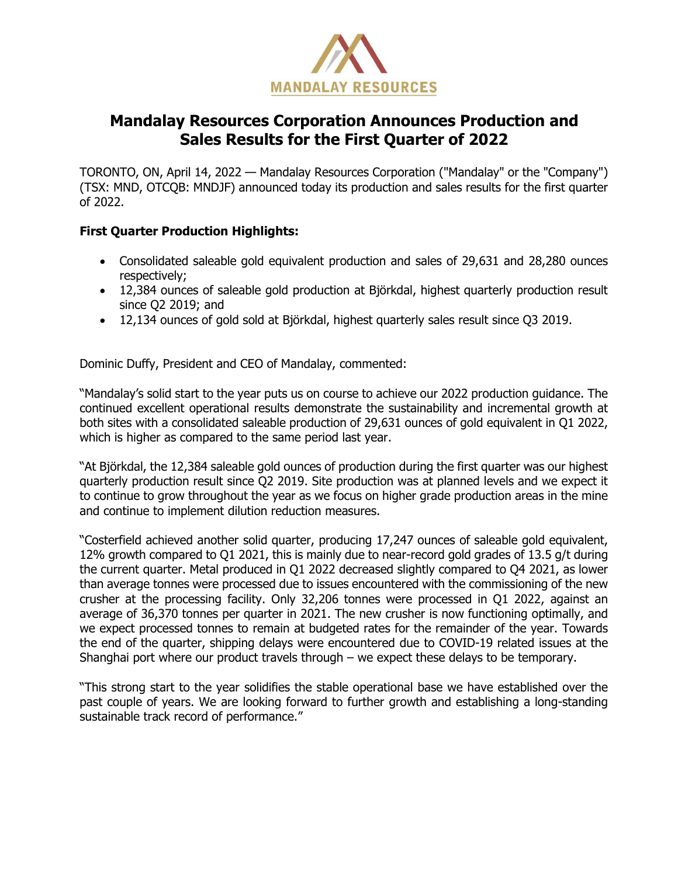

# **Mandalay Resources Corporation Announces Production and Sales Results for the First Quarter of 2022**

TORONTO, ON, April 14, 2022 — Mandalay Resources Corporation ("Mandalay" or the "Company") (TSX: MND, OTCQB: MNDJF) announced today its production and sales results for the first quarter of 2022.

## **First Quarter Production Highlights:**

- Consolidated saleable gold equivalent production and sales of 29,631 and 28,280 ounces respectively;
- 12,384 ounces of saleable gold production at Björkdal, highest quarterly production result since Q2 2019; and
- 12,134 ounces of gold sold at Björkdal, highest quarterly sales result since Q3 2019.

Dominic Duffy, President and CEO of Mandalay, commented:

"Mandalay's solid start to the year puts us on course to achieve our 2022 production guidance. The continued excellent operational results demonstrate the sustainability and incremental growth at both sites with a consolidated saleable production of 29,631 ounces of gold equivalent in Q1 2022, which is higher as compared to the same period last year.

"At Björkdal, the 12,384 saleable gold ounces of production during the first quarter was our highest quarterly production result since Q2 2019. Site production was at planned levels and we expect it to continue to grow throughout the year as we focus on higher grade production areas in the mine and continue to implement dilution reduction measures.

"Costerfield achieved another solid quarter, producing 17,247 ounces of saleable gold equivalent, 12% growth compared to Q1 2021, this is mainly due to near-record gold grades of 13.5 g/t during the current quarter. Metal produced in Q1 2022 decreased slightly compared to Q4 2021, as lower than average tonnes were processed due to issues encountered with the commissioning of the new crusher at the processing facility. Only 32,206 tonnes were processed in Q1 2022, against an average of 36,370 tonnes per quarter in 2021. The new crusher is now functioning optimally, and we expect processed tonnes to remain at budgeted rates for the remainder of the year. Towards the end of the quarter, shipping delays were encountered due to COVID-19 related issues at the Shanghai port where our product travels through – we expect these delays to be temporary.

"This strong start to the year solidifies the stable operational base we have established over the past couple of years. We are looking forward to further growth and establishing a long-standing sustainable track record of performance."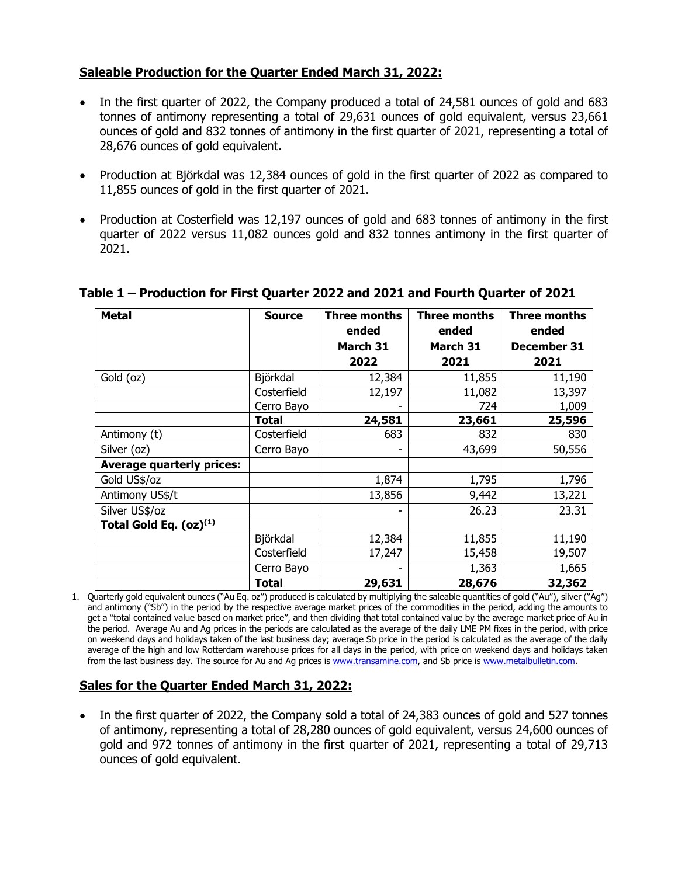## **Saleable Production for the Quarter Ended March 31, 2022:**

- In the first quarter of 2022, the Company produced a total of 24,581 ounces of gold and 683 tonnes of antimony representing a total of 29,631 ounces of gold equivalent, versus 23,661 ounces of gold and 832 tonnes of antimony in the first quarter of 2021, representing a total of 28,676 ounces of gold equivalent.
- Production at Björkdal was 12,384 ounces of gold in the first quarter of 2022 as compared to 11,855 ounces of gold in the first quarter of 2021.
- Production at Costerfield was 12,197 ounces of gold and 683 tonnes of antimony in the first quarter of 2022 versus 11,082 ounces gold and 832 tonnes antimony in the first quarter of 2021.

| <b>Metal</b>                     | <b>Source</b> | <b>Three months</b><br>ended | <b>Three months</b><br>ended | <b>Three months</b><br>ended |
|----------------------------------|---------------|------------------------------|------------------------------|------------------------------|
|                                  |               | March 31<br>2022             | March 31<br>2021             | December 31<br>2021          |
| Gold (oz)                        | Björkdal      | 12,384                       | 11,855                       | 11,190                       |
|                                  | Costerfield   | 12,197                       | 11,082                       | 13,397                       |
|                                  | Cerro Bayo    |                              | 724                          | 1,009                        |
|                                  | Total         | 24,581                       | 23,661                       | 25,596                       |
| Antimony (t)                     | Costerfield   | 683                          | 832                          | 830                          |
| Silver (oz)                      | Cerro Bayo    | -                            | 43,699                       | 50,556                       |
| <b>Average quarterly prices:</b> |               |                              |                              |                              |
| Gold US\$/oz                     |               | 1,874                        | 1,795                        | 1,796                        |
| Antimony US\$/t                  |               | 13,856                       | 9,442                        | 13,221                       |
| Silver US\$/oz                   |               | ۰                            | 26.23                        | 23.31                        |
| Total Gold Eq. $(oz)^{(1)}$      |               |                              |                              |                              |
|                                  | Björkdal      | 12,384                       | 11,855                       | 11,190                       |
|                                  | Costerfield   | 17,247                       | 15,458                       | 19,507                       |
|                                  | Cerro Bayo    |                              | 1,363                        | 1,665                        |
|                                  | <b>Total</b>  | 29,631                       | 28,676                       | 32,362                       |

## **Table 1 – Production for First Quarter 2022 and 2021 and Fourth Quarter of 2021**

1. Quarterly gold equivalent ounces ("Au Eq. oz") produced is calculated by multiplying the saleable quantities of gold ("Au"), silver ("Ag") and antimony ("Sb") in the period by the respective average market prices of the commodities in the period, adding the amounts to get a "total contained value based on market price", and then dividing that total contained value by the average market price of Au in the period. Average Au and Ag prices in the periods are calculated as the average of the daily LME PM fixes in the period, with price on weekend days and holidays taken of the last business day; average Sb price in the period is calculated as the average of the daily average of the high and low Rotterdam warehouse prices for all days in the period, with price on weekend days and holidays taken from the last business day. The source for Au and Ag prices i[s www.transamine.com,](file:///C:/Users/Edison%20Nguyen/AppData/Local/Microsoft/Windows/INetCache/Content.Outlook/36050IKN/www.transamine.com) and Sb price i[s www.metalbulletin.com.](http://www.metalbulletin.com/)

## **Sales for the Quarter Ended March 31, 2022:**

• In the first quarter of 2022, the Company sold a total of 24,383 ounces of gold and 527 tonnes of antimony, representing a total of 28,280 ounces of gold equivalent, versus 24,600 ounces of gold and 972 tonnes of antimony in the first quarter of 2021, representing a total of 29,713 ounces of gold equivalent.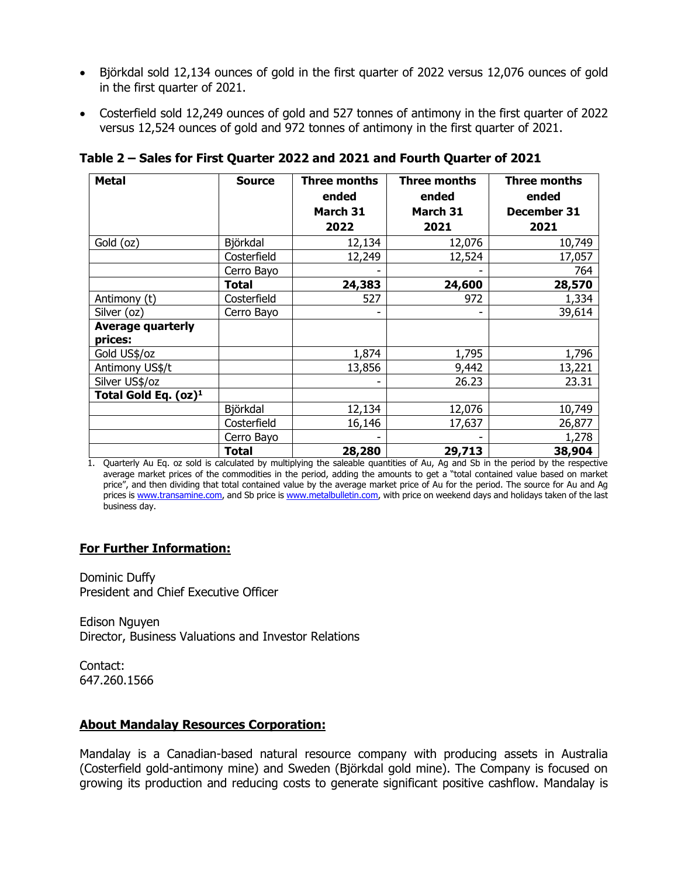- Björkdal sold 12,134 ounces of gold in the first quarter of 2022 versus 12,076 ounces of gold in the first quarter of 2021.
- Costerfield sold 12,249 ounces of gold and 527 tonnes of antimony in the first quarter of 2022 versus 12,524 ounces of gold and 972 tonnes of antimony in the first quarter of 2021.

| <b>Metal</b>             | <b>Source</b> | Three months<br>ended | Three months<br>ended | Three months<br>ended |
|--------------------------|---------------|-----------------------|-----------------------|-----------------------|
|                          |               | March 31              | March 31              | December 31           |
|                          |               | 2022                  | 2021                  | 2021                  |
| Gold (oz)                | Björkdal      | 12,134                | 12,076                | 10,749                |
|                          | Costerfield   | 12,249                | 12,524                | 17,057                |
|                          | Cerro Bayo    |                       |                       | 764                   |
|                          | Total         | 24,383                | 24,600                | 28,570                |
| Antimony (t)             | Costerfield   | 527                   | 972                   | 1,334                 |
| Silver (oz)              | Cerro Bayo    | -                     |                       | 39,614                |
| <b>Average quarterly</b> |               |                       |                       |                       |
| prices:                  |               |                       |                       |                       |
| Gold US\$/oz             |               | 1,874                 | 1,795                 | 1,796                 |
| Antimony US\$/t          |               | 13,856                | 9,442                 | 13,221                |
| Silver US\$/oz           |               |                       | 26.23                 | 23.31                 |
| Total Gold Eq. $(oz)^1$  |               |                       |                       |                       |
|                          | Björkdal      | 12,134                | 12,076                | 10,749                |
|                          | Costerfield   | 16,146                | 17,637                | 26,877                |
|                          | Cerro Bayo    |                       |                       | 1,278                 |
|                          | Total         | 28,280                | 29,713                | 38,904                |

**Table 2 – Sales for First Quarter 2022 and 2021 and Fourth Quarter of 2021**

1. Quarterly Au Eq. oz sold is calculated by multiplying the saleable quantities of Au, Ag and Sb in the period by the respective average market prices of the commodities in the period, adding the amounts to get a "total contained value based on market price", and then dividing that total contained value by the average market price of Au for the period. The source for Au and Ag prices is [www.transamine.com,](file:///C:/Users/Edison%20Nguyen/AppData/Local/Microsoft/Windows/INetCache/Content.Outlook/36050IKN/www.transamine.com) and Sb price i[s www.metalbulletin.com,](http://www.metalbulletin.com/) with price on weekend days and holidays taken of the last business day.

## **For Further Information:**

Dominic Duffy President and Chief Executive Officer

Edison Nguyen Director, Business Valuations and Investor Relations

Contact: 647.260.1566

## **About Mandalay Resources Corporation:**

Mandalay is a Canadian-based natural resource company with producing assets in Australia (Costerfield gold-antimony mine) and Sweden (Björkdal gold mine). The Company is focused on growing its production and reducing costs to generate significant positive cashflow. Mandalay is